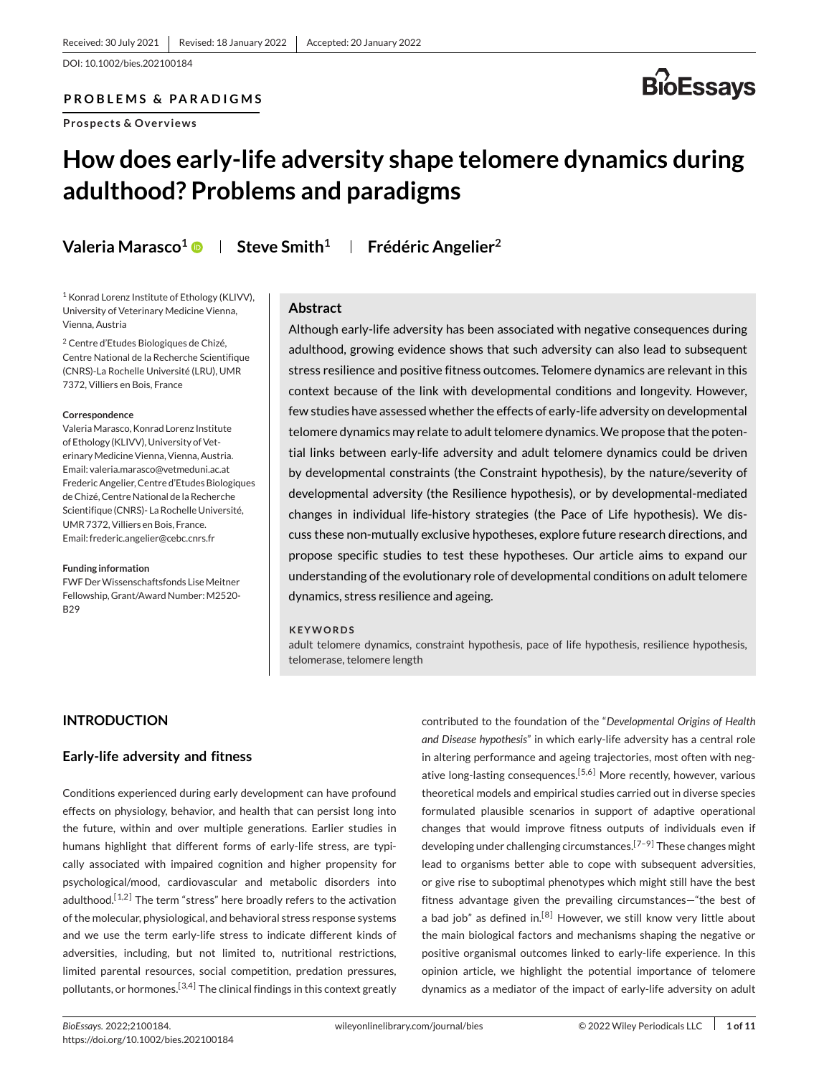DOI: 10.1002/bies.202100184

### **PROBLEMS & PARADIGMS**

**Prospects & Overviews**



# **How does early-life adversity shape telomere dynamics during adulthood? Problems and paradigms**

**Valeria Marasco<sup>1</sup> • Steve Smith<sup>1</sup> Frédéric Angelier<sup>2</sup>** 

<sup>1</sup> Konrad Lorenz Institute of Ethology (KLIVV), University of Veterinary Medicine Vienna, Vienna, Austria

<sup>2</sup> Centre d'Etudes Biologiques de Chizé, Centre National de la Recherche Scientifique (CNRS)-La Rochelle Université (LRU), UMR 7372, Villiers en Bois, France

#### **Correspondence**

ValeriaMarasco, Konrad Lorenz Institute of Ethology (KLIVV), University of VeterinaryMedicine Vienna, Vienna, Austria. Email[: valeria.marasco@vetmeduni.ac.at](mailto:valeria.marasco@vetmeduni.ac.at) Frederic Angelier, Centre d'Etudes Biologiques de Chizé, Centre National de la Recherche Scientifique (CNRS)- La Rochelle Université, UMR 7372, Villiers en Bois, France. Email[: frederic.angelier@cebc.cnrs.fr](mailto:frederic.angelier@cebc.cnrs.fr)

#### **Funding information**

FWF DerWissenschaftsfonds LiseMeitner Fellowship, Grant/Award Number: M2520-B29

### **Abstract**

Although early-life adversity has been associated with negative consequences during adulthood, growing evidence shows that such adversity can also lead to subsequent stress resilience and positive fitness outcomes. Telomere dynamics are relevant in this context because of the link with developmental conditions and longevity. However, few studies have assessed whether the effects of early-life adversity on developmental telomere dynamics may relate to adult telomere dynamics.We propose that the potential links between early-life adversity and adult telomere dynamics could be driven by developmental constraints (the Constraint hypothesis), by the nature/severity of developmental adversity (the Resilience hypothesis), or by developmental-mediated changes in individual life-history strategies (the Pace of Life hypothesis). We discuss these non-mutually exclusive hypotheses, explore future research directions, and propose specific studies to test these hypotheses. Our article aims to expand our understanding of the evolutionary role of developmental conditions on adult telomere dynamics, stress resilience and ageing.

#### **KEYWORDS**

adult telomere dynamics, constraint hypothesis, pace of life hypothesis, resilience hypothesis, telomerase, telomere length

## **INTRODUCTION**

#### **Early-life adversity and fitness**

Conditions experienced during early development can have profound effects on physiology, behavior, and health that can persist long into the future, within and over multiple generations. Earlier studies in humans highlight that different forms of early-life stress, are typically associated with impaired cognition and higher propensity for psychological/mood, cardiovascular and metabolic disorders into adulthood.<sup>[1,2]</sup> The term "stress" here broadly refers to the activation of the molecular, physiological, and behavioral stress response systems and we use the term early-life stress to indicate different kinds of adversities, including, but not limited to, nutritional restrictions, limited parental resources, social competition, predation pressures, pollutants, or hormones.<sup>[3,4]</sup> The clinical findings in this context greatly

contributed to the foundation of the "*Developmental Origins of Health and Disease hypothesis*" in which early-life adversity has a central role in altering performance and ageing trajectories, most often with negative long-lasting consequences.<sup>[5,6]</sup> More recently, however, various theoretical models and empirical studies carried out in diverse species formulated plausible scenarios in support of adaptive operational changes that would improve fitness outputs of individuals even if developing under challenging circumstances.<sup>[7-9]</sup> These changes might lead to organisms better able to cope with subsequent adversities, or give rise to suboptimal phenotypes which might still have the best fitness advantage given the prevailing circumstances—"the best of a bad job" as defined in.<sup>[\[8\]](#page-7-0)</sup> However, we still know very little about the main biological factors and mechanisms shaping the negative or positive organismal outcomes linked to early-life experience. In this opinion article, we highlight the potential importance of telomere dynamics as a mediator of the impact of early-life adversity on adult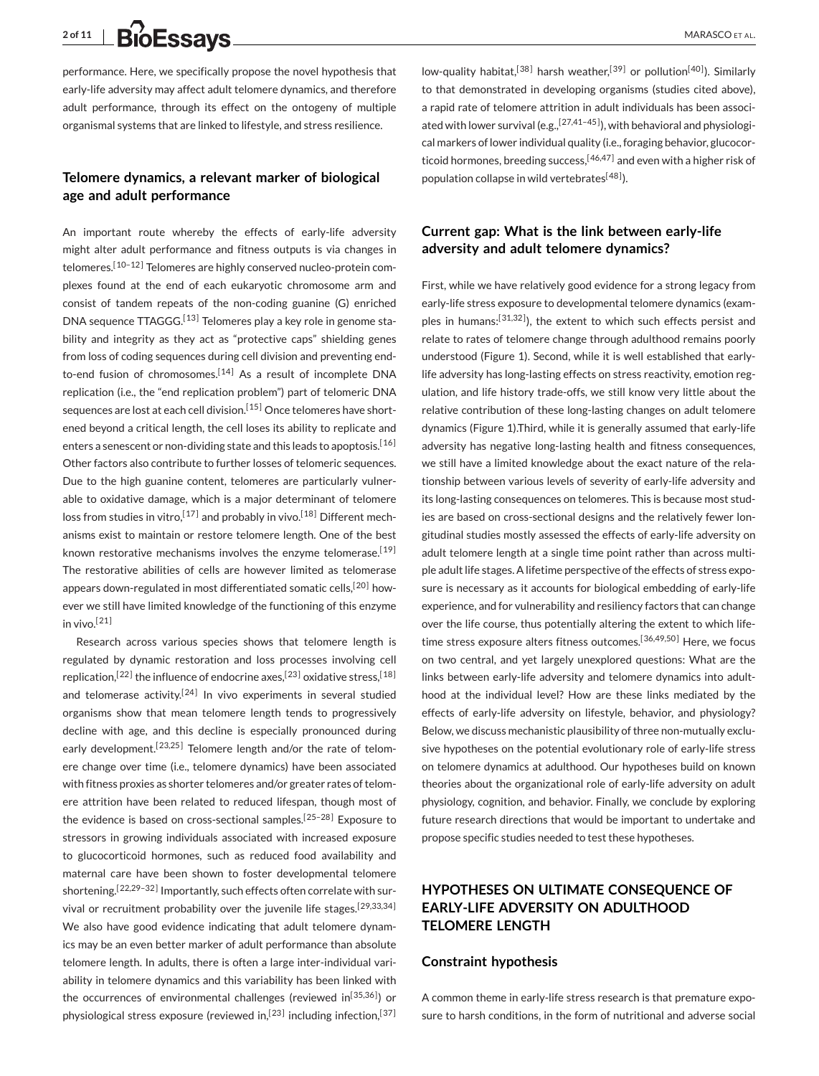performance. Here, we specifically propose the novel hypothesis that early-life adversity may affect adult telomere dynamics, and therefore adult performance, through its effect on the ontogeny of multiple organismal systems that are linked to lifestyle, and stress resilience.

## **Telomere dynamics, a relevant marker of biological age and adult performance**

An important route whereby the effects of early-life adversity might alter adult performance and fitness outputs is via changes in telomeres.<sup>[10–12]</sup> Telomeres are highly conserved nucleo-protein complexes found at the end of each eukaryotic chromosome arm and consist of tandem repeats of the non-coding guanine (G) enriched DNA sequence TTAGGG.<sup>[13]</sup> Telomeres play a key role in genome stability and integrity as they act as "protective caps" shielding genes from loss of coding sequences during cell division and preventing endto-end fusion of chromosomes.<sup>[14]</sup> As a result of incomplete DNA replication (i.e., the "end replication problem") part of telomeric DNA sequences are lost at each cell division.<sup>[15]</sup> Once telomeres have shortened beyond a critical length, the cell loses its ability to replicate and enters a senescent or non-dividing state and this leads to apoptosis.<sup>[16]</sup> Other factors also contribute to further losses of telomeric sequences. Due to the high guanine content, telomeres are particularly vulnerable to oxidative damage, which is a major determinant of telomere loss from studies in vitro,<sup>[17]</sup> and probably in vivo.<sup>[18]</sup> Different mechanisms exist to maintain or restore telomere length. One of the best known restorative mechanisms involves the enzyme telomerase.<sup>[19]</sup> The restorative abilities of cells are however limited as telomerase appears down-regulated in most differentiated somatic cells.<sup>[20]</sup> however we still have limited knowledge of the functioning of this enzyme in vivo. $[21]$ 

Research across various species shows that telomere length is regulated by dynamic restoration and loss processes involving cell replication,<sup>[22]</sup> the influence of endocrine axes,<sup>[23]</sup> oxidative stress,<sup>[18]</sup> and telomerase activity.<sup>[24]</sup> In vivo experiments in several studied organisms show that mean telomere length tends to progressively decline with age, and this decline is especially pronounced during early development.<sup>[23,25]</sup> Telomere length and/or the rate of telomere change over time (i.e., telomere dynamics) have been associated with fitness proxies as shorter telomeres and/or greater rates of telomere attrition have been related to reduced lifespan, though most of the evidence is based on cross-sectional samples.<sup>[25-28]</sup> Exposure to stressors in growing individuals associated with increased exposure to glucocorticoid hormones, such as reduced food availability and maternal care have been shown to foster developmental telomere shortening.<sup>[22,29-32]</sup> Importantly, such effects often correlate with survival or recruitment probability over the juvenile life stages.<sup>[29,33,34]</sup> We also have good evidence indicating that adult telomere dynamics may be an even better marker of adult performance than absolute telomere length. In adults, there is often a large inter-individual variability in telomere dynamics and this variability has been linked with the occurrences of environmental challenges (reviewed in $[35,36]$ ) or physiological stress exposure (reviewed in,<sup>[23]</sup> including infection,<sup>[37]</sup>

low-quality habitat,<sup>[38]</sup> harsh weather,<sup>[39]</sup> or pollution<sup>[40]</sup>). Similarly to that demonstrated in developing organisms (studies cited above), a rapid rate of telomere attrition in adult individuals has been associated with lower survival (e.g.,  $[27,41-45]$ ), with behavioral and physiological markers of lower individual quality (i.e., foraging behavior, glucocorticoid hormones, breeding success,<sup>[46,47]</sup> and even with a higher risk of population collapse in wild vertebrates<sup>[48]</sup>).

## **Current gap: What is the link between early-life adversity and adult telomere dynamics?**

First, while we have relatively good evidence for a strong legacy from early-life stress exposure to developmental telomere dynamics (examples in humans: $[31,32]$ ), the extent to which such effects persist and relate to rates of telomere change through adulthood remains poorly understood (Figure [1\)](#page-2-0). Second, while it is well established that earlylife adversity has long-lasting effects on stress reactivity, emotion regulation, and life history trade-offs, we still know very little about the relative contribution of these long-lasting changes on adult telomere dynamics (Figure [1\)](#page-2-0).Third, while it is generally assumed that early-life adversity has negative long-lasting health and fitness consequences, we still have a limited knowledge about the exact nature of the relationship between various levels of severity of early-life adversity and its long-lasting consequences on telomeres. This is because most studies are based on cross-sectional designs and the relatively fewer longitudinal studies mostly assessed the effects of early-life adversity on adult telomere length at a single time point rather than across multiple adult life stages. A lifetime perspective of the effects of stress exposure is necessary as it accounts for biological embedding of early-life experience, and for vulnerability and resiliency factors that can change over the life course, thus potentially altering the extent to which lifetime stress exposure alters fitness outcomes.<sup>[36,49,50]</sup> Here, we focus on two central, and yet largely unexplored questions: What are the links between early-life adversity and telomere dynamics into adulthood at the individual level? How are these links mediated by the effects of early-life adversity on lifestyle, behavior, and physiology? Below, we discuss mechanistic plausibility of three non-mutually exclusive hypotheses on the potential evolutionary role of early-life stress on telomere dynamics at adulthood. Our hypotheses build on known theories about the organizational role of early-life adversity on adult physiology, cognition, and behavior. Finally, we conclude by exploring future research directions that would be important to undertake and propose specific studies needed to test these hypotheses.

# **HYPOTHESES ON ULTIMATE CONSEQUENCE OF EARLY-LIFE ADVERSITY ON ADULTHOOD TELOMERE LENGTH**

### **Constraint hypothesis**

A common theme in early-life stress research is that premature exposure to harsh conditions, in the form of nutritional and adverse social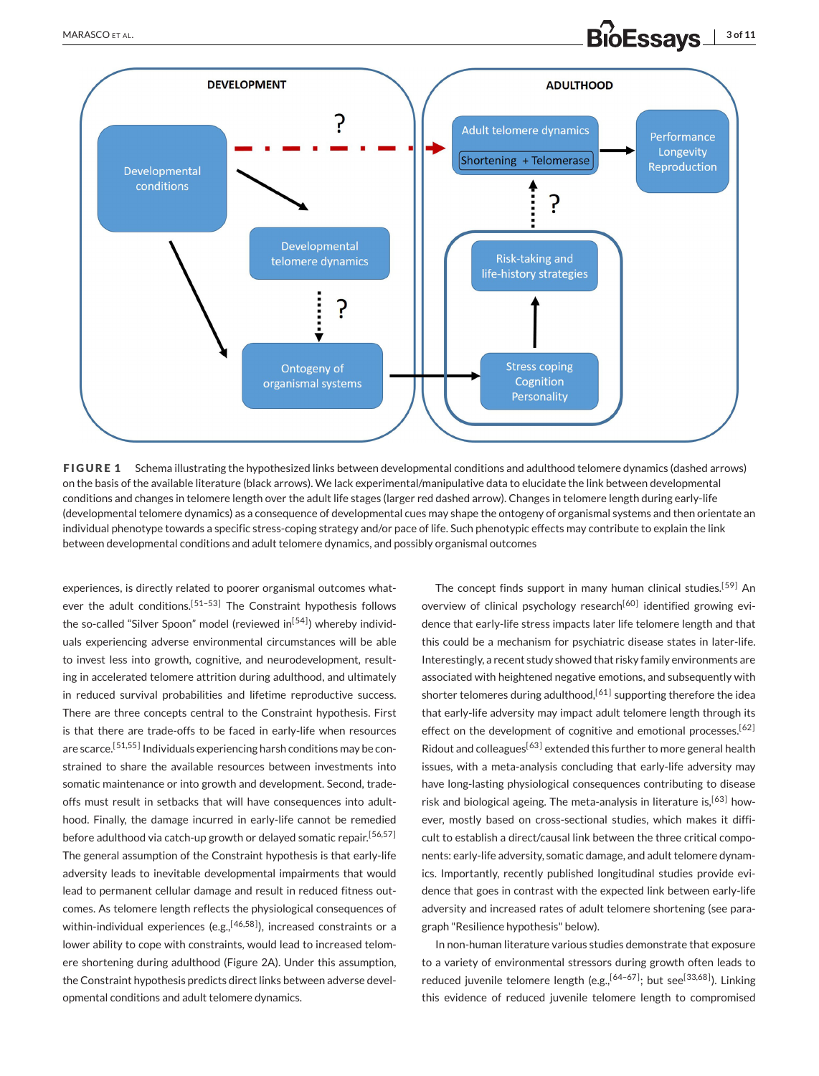# <span id="page-2-0"></span>MARASCO ET AL. **3 of 11 BIOESSAYS**



**FIGURE 1** Schema illustrating the hypothesized links between developmental conditions and adulthood telomere dynamics (dashed arrows) on the basis of the available literature (black arrows). We lack experimental/manipulative data to elucidate the link between developmental conditions and changes in telomere length over the adult life stages (larger red dashed arrow). Changes in telomere length during early-life (developmental telomere dynamics) as a consequence of developmental cues may shape the ontogeny of organismal systems and then orientate an individual phenotype towards a specific stress-coping strategy and/or pace of life. Such phenotypic effects may contribute to explain the link between developmental conditions and adult telomere dynamics, and possibly organismal outcomes

experiences, is directly related to poorer organismal outcomes whatever the adult conditions.<sup>[51-53]</sup> The Constraint hypothesis follows the so-called "Silver Spoon" model (reviewed  $\text{in}^{[54]}$ ) whereby individuals experiencing adverse environmental circumstances will be able to invest less into growth, cognitive, and neurodevelopment, resulting in accelerated telomere attrition during adulthood, and ultimately in reduced survival probabilities and lifetime reproductive success. There are three concepts central to the Constraint hypothesis. First is that there are trade-offs to be faced in early-life when resources are scarce.[\[51,55 \]](#page-8-0) Individuals experiencing harsh conditions may be constrained to share the available resources between investments into somatic maintenance or into growth and development. Second, tradeoffs must result in setbacks that will have consequences into adulthood. Finally, the damage incurred in early-life cannot be remedied before adulthood via catch-up growth or delayed somatic repair.<sup>[56,57]</sup> The general assumption of the Constraint hypothesis is that early-life adversity leads to inevitable developmental impairments that would lead to permanent cellular damage and result in reduced fitness outcomes. As telomere length reflects the physiological consequences of within-individual experiences (e.g.,<sup>[46,58]</sup>), increased constraints or a lower ability to cope with constraints, would lead to increased telomere shortening during adulthood (Figure [2A\)](#page-3-0). Under this assumption, the Constraint hypothesis predicts direct links between adverse developmental conditions and adult telomere dynamics.

The concept finds support in many human clinical studies.<sup>[59]</sup> An overview of clinical psychology research<sup>[60]</sup> identified growing evidence that early-life stress impacts later life telomere length and that this could be a mechanism for psychiatric disease states in later-life. Interestingly, a recent study showed that risky family environments are associated with heightened negative emotions, and subsequently with shorter telomeres during adulthood,<sup>[61]</sup> supporting therefore the idea that early-life adversity may impact adult telomere length through its effect on the development of cognitive and emotional processes.<sup>[62]</sup> Ridout and colleagues<sup>[63]</sup> extended this further to more general health issues, with a meta-analysis concluding that early-life adversity may have long-lasting physiological consequences contributing to disease risk and biological ageing. The meta-analysis in literature is,  $[63]$  however, mostly based on cross-sectional studies, which makes it difficult to establish a direct/causal link between the three critical components: early-life adversity, somatic damage, and adult telomere dynamics. Importantly, recently published longitudinal studies provide evidence that goes in contrast with the expected link between early-life adversity and increased rates of adult telomere shortening (see paragraph "Resilience hypothesis" below).

In non-human literature various studies demonstrate that exposure to a variety of environmental stressors during growth often leads to reduced juvenile telomere length (e.g.,<sup>[64-67]</sup>; but see<sup>[33,68]</sup>). Linking this evidence of reduced juvenile telomere length to compromised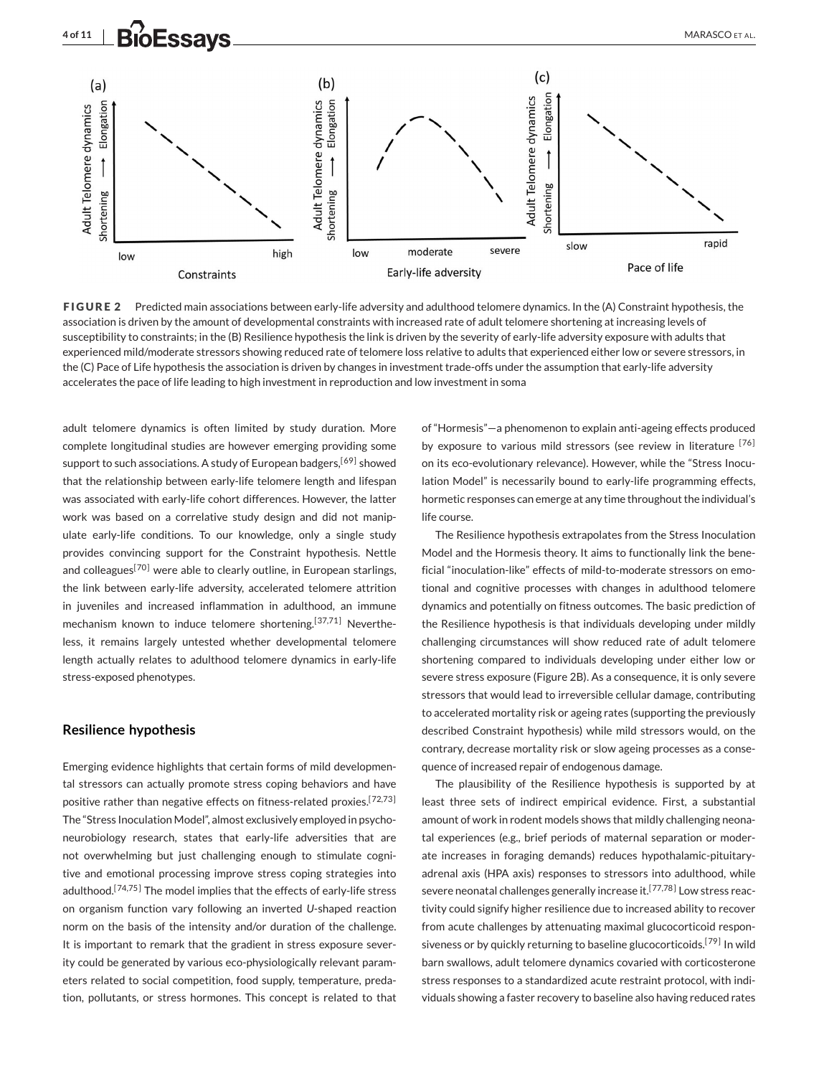<span id="page-3-0"></span>

**FIGURE 2** Predicted main associations between early-life adversity and adulthood telomere dynamics. In the (A) Constraint hypothesis, the association is driven by the amount of developmental constraints with increased rate of adult telomere shortening at increasing levels of susceptibility to constraints; in the (B) Resilience hypothesis the link is driven by the severity of early-life adversity exposure with adults that experienced mild/moderate stressors showing reduced rate of telomere loss relative to adults that experienced either low or severe stressors, in the (C) Pace of Life hypothesis the association is driven by changes in investment trade-offs under the assumption that early-life adversity accelerates the pace of life leading to high investment in reproduction and low investment in soma

adult telomere dynamics is often limited by study duration. More complete longitudinal studies are however emerging providing some support to such associations. A study of European badgers,  $[69]$  showed that the relationship between early-life telomere length and lifespan was associated with early-life cohort differences. However, the latter work was based on a correlative study design and did not manipulate early-life conditions. To our knowledge, only a single study provides convincing support for the Constraint hypothesis. Nettle and colleagues<sup>[70]</sup> were able to clearly outline, in European starlings, the link between early-life adversity, accelerated telomere attrition in juveniles and increased inflammation in adulthood, an immune mechanism known to induce telomere shortening.<sup>[37,71]</sup> Nevertheless, it remains largely untested whether developmental telomere length actually relates to adulthood telomere dynamics in early-life stress-exposed phenotypes.

#### **Resilience hypothesis**

Emerging evidence highlights that certain forms of mild developmental stressors can actually promote stress coping behaviors and have positive rather than negative effects on fitness-related proxies.<sup>[72,73]</sup> The "Stress Inoculation Model", almost exclusively employed in psychoneurobiology research, states that early-life adversities that are not overwhelming but just challenging enough to stimulate cognitive and emotional processing improve stress coping strategies into adulthood.<sup>[74,75]</sup> The model implies that the effects of early-life stress on organism function vary following an inverted *U*-shaped reaction norm on the basis of the intensity and/or duration of the challenge. It is important to remark that the gradient in stress exposure severity could be generated by various eco-physiologically relevant parameters related to social competition, food supply, temperature, predation, pollutants, or stress hormones. This concept is related to that

of "Hormesis"—a phenomenon to explain anti-ageing effects produced by exposure to various mild stressors (see review in literature  $[76]$ on its eco-evolutionary relevance). However, while the "Stress Inoculation Model" is necessarily bound to early-life programming effects, hormetic responses can emerge at any time throughout the individual's life course.

The Resilience hypothesis extrapolates from the Stress Inoculation Model and the Hormesis theory. It aims to functionally link the beneficial "inoculation-like" effects of mild-to-moderate stressors on emotional and cognitive processes with changes in adulthood telomere dynamics and potentially on fitness outcomes. The basic prediction of the Resilience hypothesis is that individuals developing under mildly challenging circumstances will show reduced rate of adult telomere shortening compared to individuals developing under either low or severe stress exposure (Figure 2B). As a consequence, it is only severe stressors that would lead to irreversible cellular damage, contributing to accelerated mortality risk or ageing rates (supporting the previously described Constraint hypothesis) while mild stressors would, on the contrary, decrease mortality risk or slow ageing processes as a consequence of increased repair of endogenous damage.

The plausibility of the Resilience hypothesis is supported by at least three sets of indirect empirical evidence. First, a substantial amount of work in rodent models shows that mildly challenging neonatal experiences (e.g., brief periods of maternal separation or moderate increases in foraging demands) reduces hypothalamic-pituitaryadrenal axis (HPA axis) responses to stressors into adulthood, while severe neonatal challenges generally increase it.<sup>[77,78]</sup> Low stress reactivity could signify higher resilience due to increased ability to recover from acute challenges by attenuating maximal glucocorticoid responsiveness or by quickly returning to baseline glucocorticoids.<sup>[79]</sup> In wild barn swallows, adult telomere dynamics covaried with corticosterone stress responses to a standardized acute restraint protocol, with individuals showing a faster recovery to baseline also having reduced rates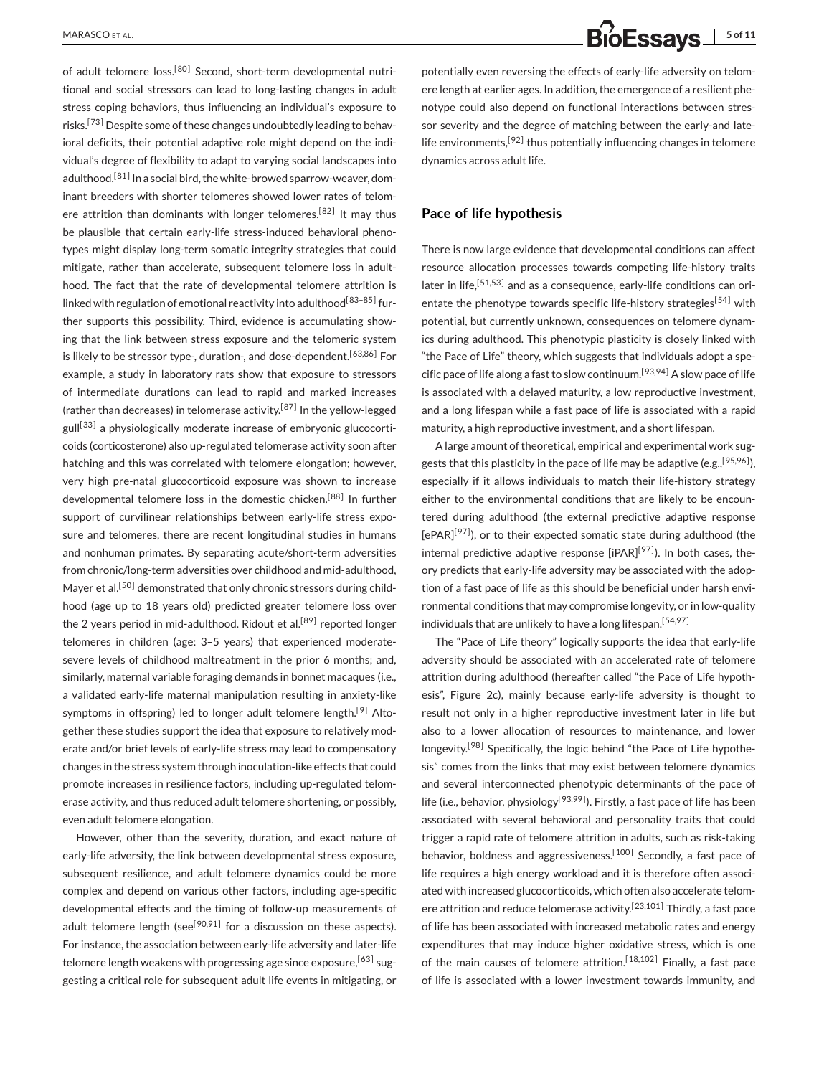of adult telomere loss.<sup>[80]</sup> Second, short-term developmental nutritional and social stressors can lead to long-lasting changes in adult stress coping behaviors, thus influencing an individual's exposure to risks.<sup>[73]</sup> Despite some of these changes undoubtedly leading to behavioral deficits, their potential adaptive role might depend on the individual's degree of flexibility to adapt to varying social landscapes into adulthood.<sup>[81]</sup> In a social bird, the white-browed sparrow-weaver, dominant breeders with shorter telomeres showed lower rates of telomere attrition than dominants with longer telomeres.<sup>[82]</sup> It may thus be plausible that certain early-life stress-induced behavioral phenotypes might display long-term somatic integrity strategies that could mitigate, rather than accelerate, subsequent telomere loss in adulthood. The fact that the rate of developmental telomere attrition is linked with regulation of emotional reactivity into adulthood<sup>[83-85]</sup> further supports this possibility. Third, evidence is accumulating showing that the link between stress exposure and the telomeric system is likely to be stressor type-, duration-, and dose-dependent.<sup>[63,86]</sup> For example, a study in laboratory rats show that exposure to stressors of intermediate durations can lead to rapid and marked increases (rather than decreases) in telomerase activity.<sup>[87]</sup> In the yellow-legged  $gull<sup>[33]</sup>$  a physiologically moderate increase of embryonic glucocorticoids (corticosterone) also up-regulated telomerase activity soon after hatching and this was correlated with telomere elongation; however, very high pre-natal glucocorticoid exposure was shown to increase developmental telomere loss in the domestic chicken.<sup>[88]</sup> In further support of curvilinear relationships between early-life stress exposure and telomeres, there are recent longitudinal studies in humans and nonhuman primates. By separating acute/short-term adversities from chronic/long-term adversities over childhood and mid-adulthood, Mayer et al.<sup>[50]</sup> demonstrated that only chronic stressors during childhood (age up to 18 years old) predicted greater telomere loss over the 2 years period in mid-adulthood. Ridout et al.<sup>[89]</sup> reported longer telomeres in children (age: 3–5 years) that experienced moderatesevere levels of childhood maltreatment in the prior 6 months; and, similarly, maternal variable foraging demands in bonnet macaques (i.e., a validated early-life maternal manipulation resulting in anxiety-like symptoms in offspring) led to longer adult telomere length.<sup>[\[9\]](#page-7-0)</sup> Altogether these studies support the idea that exposure to relatively moderate and/or brief levels of early-life stress may lead to compensatory changes in the stress system through inoculation-like effects that could promote increases in resilience factors, including up-regulated telomerase activity, and thus reduced adult telomere shortening, or possibly, even adult telomere elongation.

However, other than the severity, duration, and exact nature of early-life adversity, the link between developmental stress exposure, subsequent resilience, and adult telomere dynamics could be more complex and depend on various other factors, including age-specific developmental effects and the timing of follow-up measurements of adult telomere length (see<sup>[90,91]</sup> for a discussion on these aspects). For instance, the association between early-life adversity and later-life telomere length weakens with progressing age since exposure,<sup>[63]</sup> suggesting a critical role for subsequent adult life events in mitigating, or

# **MARASCO ET AL. 5 of 11**

potentially even reversing the effects of early-life adversity on telomere length at earlier ages. In addition, the emergence of a resilient phenotype could also depend on functional interactions between stressor severity and the degree of matching between the early-and latelife environments,  $[92]$  thus potentially influencing changes in telomere dynamics across adult life.

### **Pace of life hypothesis**

There is now large evidence that developmental conditions can affect resource allocation processes towards competing life-history traits later in life,<sup>[51,53]</sup> and as a consequence, early-life conditions can orientate the phenotype towards specific life-history strategies<sup>[54]</sup> with potential, but currently unknown, consequences on telomere dynamics during adulthood. This phenotypic plasticity is closely linked with "the Pace of Life" theory, which suggests that individuals adopt a specific pace of life along a fast to slow continuum.<sup>[93,94]</sup> A slow pace of life is associated with a delayed maturity, a low reproductive investment, and a long lifespan while a fast pace of life is associated with a rapid maturity, a high reproductive investment, and a short lifespan.

A large amount of theoretical, empirical and experimental work suggests that this plasticity in the pace of life may be adaptive (e.g., [95,96]), especially if it allows individuals to match their life-history strategy either to the environmental conditions that are likely to be encountered during adulthood (the external predictive adaptive response  $[EPAR]^{[97]}$ ), or to their expected somatic state during adulthood (the internal predictive adaptive response  $[iPAR]^{[97]}$ ). In both cases, theory predicts that early-life adversity may be associated with the adoption of a fast pace of life as this should be beneficial under harsh environmental conditions that may compromise longevity, or in low-quality individuals that are unlikely to have a long lifespan.<sup>[54,97]</sup>

The "Pace of Life theory" logically supports the idea that early-life adversity should be associated with an accelerated rate of telomere attrition during adulthood (hereafter called "the Pace of Life hypothesis", Figure [2c\)](#page-3-0), mainly because early-life adversity is thought to result not only in a higher reproductive investment later in life but also to a lower allocation of resources to maintenance, and lower longevity.<sup>[98]</sup> Specifically, the logic behind "the Pace of Life hypothesis" comes from the links that may exist between telomere dynamics and several interconnected phenotypic determinants of the pace of life (i.e., behavior, physiology<sup>[93,99]</sup>). Firstly, a fast pace of life has been associated with several behavioral and personality traits that could trigger a rapid rate of telomere attrition in adults, such as risk-taking behavior, boldness and aggressiveness.<sup>[100]</sup> Secondly, a fast pace of life requires a high energy workload and it is therefore often associated with increased glucocorticoids, which often also accelerate telomere attrition and reduce telomerase activity.<sup>[23,101]</sup> Thirdly, a fast pace of life has been associated with increased metabolic rates and energy expenditures that may induce higher oxidative stress, which is one of the main causes of telomere attrition.<sup>[18,102]</sup> Finally, a fast pace of life is associated with a lower investment towards immunity, and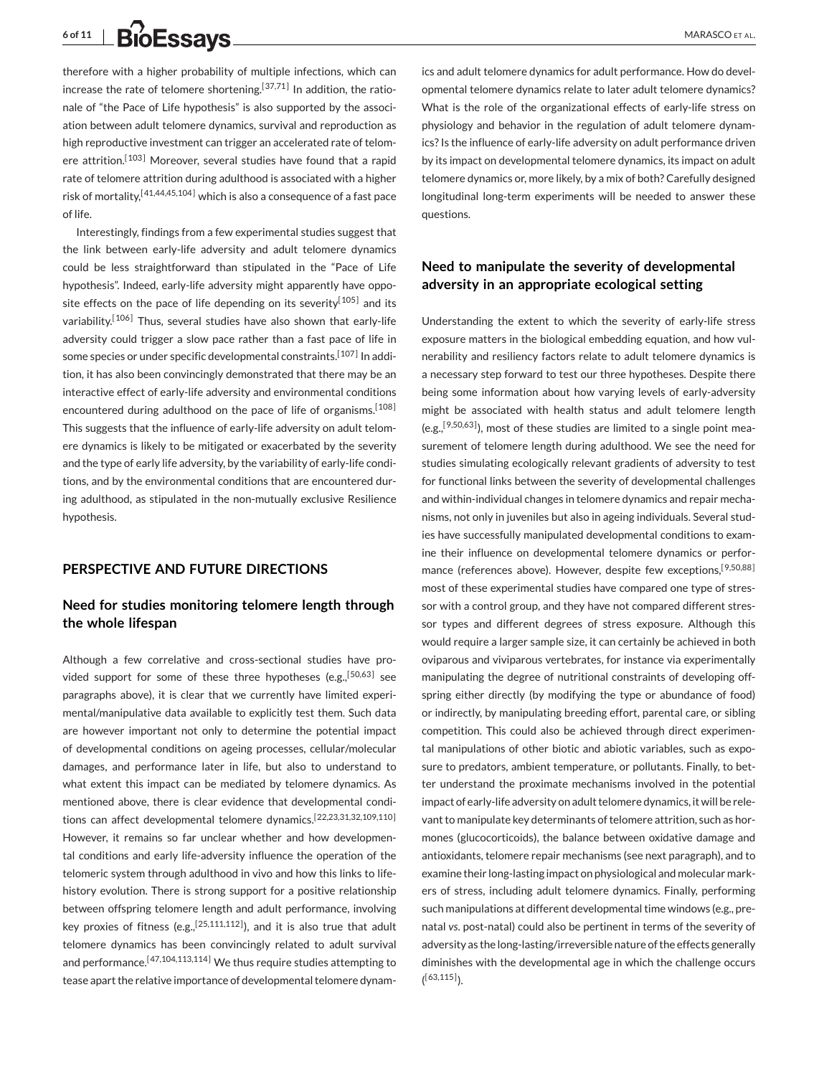therefore with a higher probability of multiple infections, which can increase the rate of telomere shortening.<sup>[37,71]</sup> In addition, the rationale of "the Pace of Life hypothesis" is also supported by the association between adult telomere dynamics, survival and reproduction as high reproductive investment can trigger an accelerated rate of telomere attrition.<sup>[103]</sup> Moreover, several studies have found that a rapid rate of telomere attrition during adulthood is associated with a higher risk of mortality.<sup>[41,44,45,104]</sup> which is also a consequence of a fast pace of life.

Interestingly, findings from a few experimental studies suggest that the link between early-life adversity and adult telomere dynamics could be less straightforward than stipulated in the "Pace of Life hypothesis". Indeed, early-life adversity might apparently have opposite effects on the pace of life depending on its severity<sup>[105]</sup> and its variability.<sup>[106]</sup> Thus, several studies have also shown that early-life adversity could trigger a slow pace rather than a fast pace of life in some species or under specific developmental constraints.<sup>[107]</sup> In addition, it has also been convincingly demonstrated that there may be an interactive effect of early-life adversity and environmental conditions encountered during adulthood on the pace of life of organisms.<sup>[108]</sup> This suggests that the influence of early-life adversity on adult telomere dynamics is likely to be mitigated or exacerbated by the severity and the type of early life adversity, by the variability of early-life conditions, and by the environmental conditions that are encountered during adulthood, as stipulated in the non-mutually exclusive Resilience hypothesis.

### **PERSPECTIVE AND FUTURE DIRECTIONS**

## **Need for studies monitoring telomere length through the whole lifespan**

Although a few correlative and cross-sectional studies have provided support for some of these three hypotheses (e.g.,<sup>[50,63]</sup> see paragraphs above), it is clear that we currently have limited experimental/manipulative data available to explicitly test them. Such data are however important not only to determine the potential impact of developmental conditions on ageing processes, cellular/molecular damages, and performance later in life, but also to understand to what extent this impact can be mediated by telomere dynamics. As mentioned above, there is clear evidence that developmental condi-tions can affect developmental telomere dynamics.<sup>[\[22,23,31,32,109,110](#page-7-0)]</sup> However, it remains so far unclear whether and how developmental conditions and early life-adversity influence the operation of the telomeric system through adulthood in vivo and how this links to lifehistory evolution. There is strong support for a positive relationship between offspring telomere length and adult performance, involving key proxies of fitness (e.g.,<sup>[25,111,112]</sup>), and it is also true that adult telomere dynamics has been convincingly related to adult survival and performance.<sup>[47,104,113,114]</sup> We thus require studies attempting to tease apart the relative importance of developmental telomere dynamics and adult telomere dynamics for adult performance. How do developmental telomere dynamics relate to later adult telomere dynamics? What is the role of the organizational effects of early-life stress on physiology and behavior in the regulation of adult telomere dynamics? Is the influence of early-life adversity on adult performance driven by its impact on developmental telomere dynamics, its impact on adult telomere dynamics or, more likely, by a mix of both? Carefully designed longitudinal long-term experiments will be needed to answer these questions.

## **Need to manipulate the severity of developmental adversity in an appropriate ecological setting**

Understanding the extent to which the severity of early-life stress exposure matters in the biological embedding equation, and how vulnerability and resiliency factors relate to adult telomere dynamics is a necessary step forward to test our three hypotheses. Despite there being some information about how varying levels of early-adversity might be associated with health status and adult telomere length (e.g.,<sup>[9,50,63]</sup>), most of these studies are limited to a single point measurement of telomere length during adulthood. We see the need for studies simulating ecologically relevant gradients of adversity to test for functional links between the severity of developmental challenges and within-individual changes in telomere dynamics and repair mechanisms, not only in juveniles but also in ageing individuals. Several studies have successfully manipulated developmental conditions to examine their influence on developmental telomere dynamics or performance (references above). However, despite few exceptions, [9,50,88] most of these experimental studies have compared one type of stressor with a control group, and they have not compared different stressor types and different degrees of stress exposure. Although this would require a larger sample size, it can certainly be achieved in both oviparous and viviparous vertebrates, for instance via experimentally manipulating the degree of nutritional constraints of developing offspring either directly (by modifying the type or abundance of food) or indirectly, by manipulating breeding effort, parental care, or sibling competition. This could also be achieved through direct experimental manipulations of other biotic and abiotic variables, such as exposure to predators, ambient temperature, or pollutants. Finally, to better understand the proximate mechanisms involved in the potential impact of early-life adversity on adult telomere dynamics, it will be relevant to manipulate key determinants of telomere attrition, such as hormones (glucocorticoids), the balance between oxidative damage and antioxidants, telomere repair mechanisms (see next paragraph), and to examine their long-lasting impact on physiological and molecular markers of stress, including adult telomere dynamics. Finally, performing such manipulations at different developmental time windows (e.g., prenatal *vs*. post-natal) could also be pertinent in terms of the severity of adversity as the long-lasting/irreversible nature of the effects generally diminishes with the developmental age in which the challenge occurs  $($ <sup>[63,115]</sup>).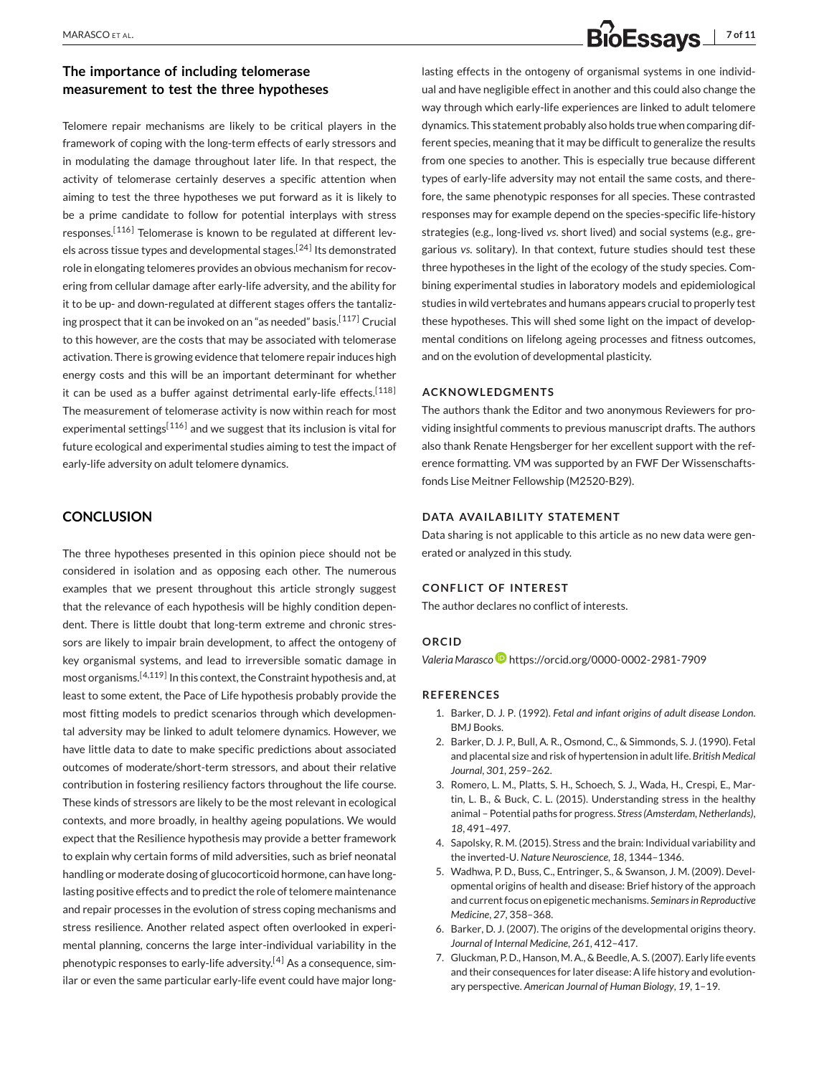# **The importance of including telomerase measurement to test the three hypotheses**

Telomere repair mechanisms are likely to be critical players in the framework of coping with the long-term effects of early stressors and in modulating the damage throughout later life. In that respect, the activity of telomerase certainly deserves a specific attention when aiming to test the three hypotheses we put forward as it is likely to be a prime candidate to follow for potential interplays with stress responses.<sup>[116]</sup> Telomerase is known to be regulated at different levels across tissue types and developmental stages.<sup>[24]</sup> Its demonstrated role in elongating telomeres provides an obvious mechanism for recovering from cellular damage after early-life adversity, and the ability for it to be up- and down-regulated at different stages offers the tantalizing prospect that it can be invoked on an "as needed" basis.<sup>[117]</sup> Crucial to this however, are the costs that may be associated with telomerase activation. There is growing evidence that telomere repair induces high energy costs and this will be an important determinant for whether it can be used as a buffer against detrimental early-life effects.<sup>[118]</sup> The measurement of telomerase activity is now within reach for most experimental settings<sup>[116]</sup> and we suggest that its inclusion is vital for future ecological and experimental studies aiming to test the impact of early-life adversity on adult telomere dynamics.

## **CONCLUSION**

The three hypotheses presented in this opinion piece should not be considered in isolation and as opposing each other. The numerous examples that we present throughout this article strongly suggest that the relevance of each hypothesis will be highly condition dependent. There is little doubt that long-term extreme and chronic stressors are likely to impair brain development, to affect the ontogeny of key organismal systems, and lead to irreversible somatic damage in most organisms.[4,119 ] In this context, the Constraint hypothesis and, at least to some extent, the Pace of Life hypothesis probably provide the most fitting models to predict scenarios through which developmental adversity may be linked to adult telomere dynamics. However, we have little data to date to make specific predictions about associated outcomes of moderate/short-term stressors, and about their relative contribution in fostering resiliency factors throughout the life course. These kinds of stressors are likely to be the most relevant in ecological contexts, and more broadly, in healthy ageing populations. We would expect that the Resilience hypothesis may provide a better framework to explain why certain forms of mild adversities, such as brief neonatal handling or moderate dosing of glucocorticoid hormone, can have longlasting positive effects and to predict the role of telomere maintenance and repair processes in the evolution of stress coping mechanisms and stress resilience. Another related aspect often overlooked in experimental planning, concerns the large inter-individual variability in the phenotypic responses to early-life adversity.<sup>[4]</sup> As a consequence, similar or even the same particular early-life event could have major longlasting effects in the ontogeny of organismal systems in one individual and have negligible effect in another and this could also change the way through which early-life experiences are linked to adult telomere dynamics. This statement probably also holds true when comparing different species, meaning that it may be difficult to generalize the results from one species to another. This is especially true because different types of early-life adversity may not entail the same costs, and therefore, the same phenotypic responses for all species. These contrasted responses may for example depend on the species-specific life-history strategies (e.g., long-lived *vs*. short lived) and social systems (e.g., gregarious *vs*. solitary). In that context, future studies should test these three hypotheses in the light of the ecology of the study species. Combining experimental studies in laboratory models and epidemiological studies in wild vertebrates and humans appears crucial to properly test these hypotheses. This will shed some light on the impact of developmental conditions on lifelong ageing processes and fitness outcomes,

#### **ACKNOWLEDGMENTS**

The authors thank the Editor and two anonymous Reviewers for providing insightful comments to previous manuscript drafts. The authors also thank Renate Hengsberger for her excellent support with the reference formatting. VM was supported by an FWF Der Wissenschaftsfonds Lise Meitner Fellowship (M2520-B29).

#### **DATA AVAILABILITY STATEMENT**

and on the evolution of developmental plasticity.

Data sharing is not applicable to this article as no new data were generated or analyzed in this study.

#### **CONFLICT OF INTEREST**

The author declares no conflict of interests.

### **ORCID**

*Valeria Marasco* <https://orcid.org/0000-0002-2981-7909>

#### **REFERENCES**

- 1. Barker, D. J. P. (1992). *Fetal and infant origins of adult disease London*. BMJ Books.
- 2. Barker, D. J. P., Bull, A. R., Osmond, C., & Simmonds, S. J. (1990). Fetal and placental size and risk of hypertension in adult life. *British Medical Journal*, *301*, 259–262.
- 3. Romero, L. M., Platts, S. H., Schoech, S. J., Wada, H., Crespi, E., Martin, L. B., & Buck, C. L. (2015). Understanding stress in the healthy animal – Potential paths for progress. *Stress (Amsterdam, Netherlands)*, *18*, 491–497.
- 4. Sapolsky, R. M. (2015). Stress and the brain: Individual variability and the inverted-U. *Nature Neuroscience*, *18*, 1344–1346.
- 5. Wadhwa, P. D., Buss, C., Entringer, S., & Swanson, J. M. (2009). Developmental origins of health and disease: Brief history of the approach and current focus on epigenetic mechanisms. *Seminars in Reproductive Medicine*, *27*, 358–368.
- 6. Barker, D. J. (2007). The origins of the developmental origins theory. *Journal of Internal Medicine*, *261*, 412–417.
- 7. Gluckman, P. D., Hanson, M. A., & Beedle, A. S. (2007). Early life events and their consequences for later disease: A life history and evolutionary perspective. *American Journal of Human Biology*, *19*, 1–19.

# <span id="page-6-0"></span>**MARASCO ET AL. 7 of 11**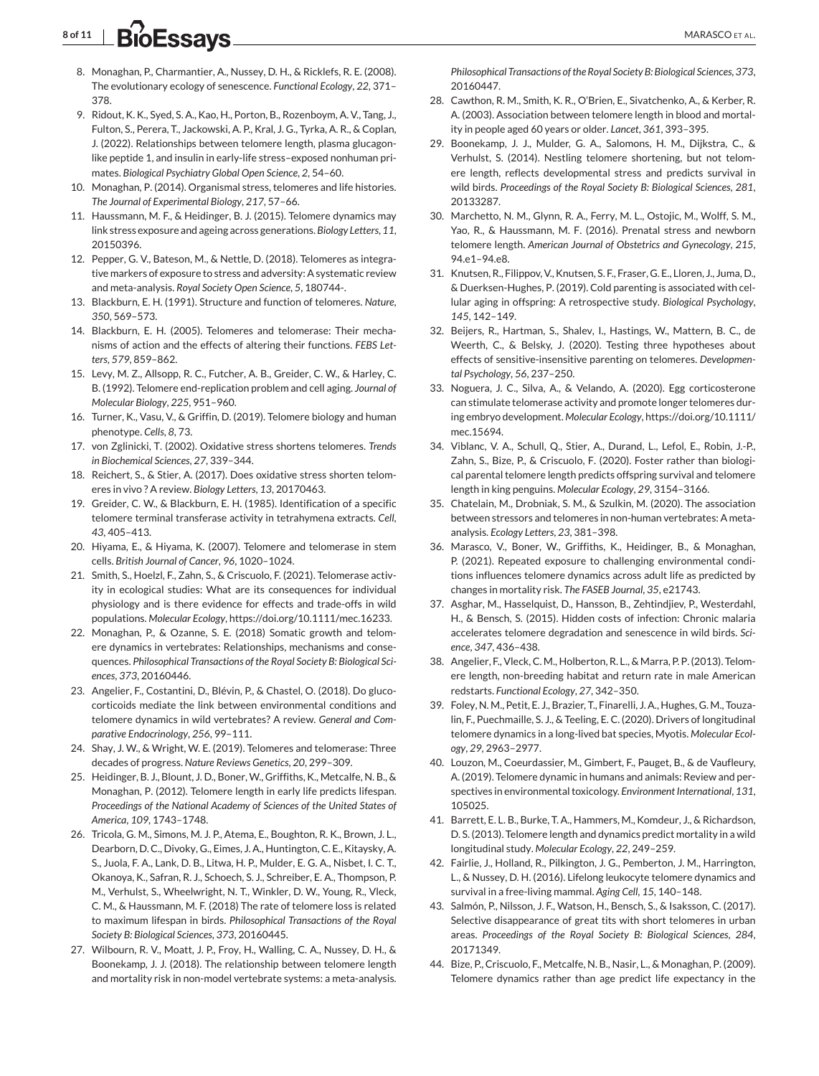# <span id="page-7-0"></span>**8 of 11 BIOESSAVS**

- 8. Monaghan, P., Charmantier, A., Nussey, D. H., & Ricklefs, R. E. (2008). The evolutionary ecology of senescence. *Functional Ecology*, *22*, 371– 378.
- 9. Ridout, K. K., Syed, S. A., Kao, H., Porton, B., Rozenboym, A. V., Tang, J., Fulton, S., Perera, T., Jackowski, A. P., Kral, J. G., Tyrka, A. R., & Coplan, J. (2022). Relationships between telomere length, plasma glucagonlike peptide 1, and insulin in early-life stress–exposed nonhuman primates. *Biological Psychiatry Global Open Science*, *2*, 54–60.
- 10. Monaghan, P. (2014). Organismal stress, telomeres and life histories. *The Journal of Experimental Biology*, *217*, 57–66.
- 11. Haussmann, M. F., & Heidinger, B. J. (2015). Telomere dynamics may link stress exposure and ageing across generations.*Biology Letters*, *11*, 20150396.
- 12. Pepper, G. V., Bateson, M., & Nettle, D. (2018). Telomeres as integrative markers of exposure to stress and adversity: A systematic review and meta-analysis. *Royal Society Open Science*, *5*, 180744-.
- 13. Blackburn, E. H. (1991). Structure and function of telomeres. *Nature*, *350*, 569–573.
- 14. Blackburn, E. H. (2005). Telomeres and telomerase: Their mechanisms of action and the effects of altering their functions. *FEBS Letters*, *579*, 859–862.
- 15. Levy, M. Z., Allsopp, R. C., Futcher, A. B., Greider, C. W., & Harley, C. B. (1992). Telomere end-replication problem and cell aging. *Journal of Molecular Biology*, *225*, 951–960.
- 16. Turner, K., Vasu, V., & Griffin, D. (2019). Telomere biology and human phenotype. *Cells*, *8*, 73.
- 17. von Zglinicki, T. (2002). Oxidative stress shortens telomeres. *Trends in Biochemical Sciences*, *27*, 339–344.
- 18. Reichert, S., & Stier, A. (2017). Does oxidative stress shorten telomeres in vivo ? A review. *Biology Letters*, *13*, 20170463.
- 19. Greider, C. W., & Blackburn, E. H. (1985). Identification of a specific telomere terminal transferase activity in tetrahymena extracts. *Cell*, *43*, 405–413.
- 20. Hiyama, E., & Hiyama, K. (2007). Telomere and telomerase in stem cells. *British Journal of Cancer*, *96*, 1020–1024.
- 21. Smith, S., Hoelzl, F., Zahn, S., & Criscuolo, F. (2021). Telomerase activity in ecological studies: What are its consequences for individual physiology and is there evidence for effects and trade-offs in wild populations. *Molecular Ecology*, [https://doi.org/10.1111/mec.16233.](https://doi.org/10.1111/mec.16233)
- 22. Monaghan, P., & Ozanne, S. E. (2018) Somatic growth and telomere dynamics in vertebrates: Relationships, mechanisms and consequences. *Philosophical Transactions of the Royal Society B: Biological Sciences*, *373*, 20160446.
- 23. Angelier, F., Costantini, D., Blévin, P., & Chastel, O. (2018). Do glucocorticoids mediate the link between environmental conditions and telomere dynamics in wild vertebrates? A review. *General and Comparative Endocrinology*, *256*, 99–111.
- 24. Shay, J. W., & Wright, W. E. (2019). Telomeres and telomerase: Three decades of progress. *Nature Reviews Genetics*, *20*, 299–309.
- 25. Heidinger, B. J., Blount, J. D., Boner, W., Griffiths, K., Metcalfe, N. B., & Monaghan, P. (2012). Telomere length in early life predicts lifespan. *Proceedings of the National Academy of Sciences of the United States of America*, *109*, 1743–1748.
- 26. Tricola, G. M., Simons, M. J. P., Atema, E., Boughton, R. K., Brown, J. L., Dearborn, D. C., Divoky, G., Eimes, J. A., Huntington, C. E., Kitaysky, A. S., Juola, F. A., Lank, D. B., Litwa, H. P., Mulder, E. G. A., Nisbet, I. C. T., Okanoya, K., Safran, R. J., Schoech, S. J., Schreiber, E. A., Thompson, P. M., Verhulst, S., Wheelwright, N. T., Winkler, D. W., Young, R., Vleck, C. M., & Haussmann, M. F. (2018) The rate of telomere loss is related to maximum lifespan in birds. *Philosophical Transactions of the Royal Society B: Biological Sciences*, *373*, 20160445.
- 27. Wilbourn, R. V., Moatt, J. P., Froy, H., Walling, C. A., Nussey, D. H., & Boonekamp, J. J. (2018). The relationship between telomere length and mortality risk in non-model vertebrate systems: a meta-analysis.

*Philosophical Transactions of the Royal Society B: Biological Sciences*, *373*, 20160447.

- 28. Cawthon, R. M., Smith, K. R., O'Brien, E., Sivatchenko, A., & Kerber, R. A. (2003). Association between telomere length in blood and mortality in people aged 60 years or older. *Lancet*, *361*, 393–395.
- 29. Boonekamp, J. J., Mulder, G. A., Salomons, H. M., Dijkstra, C., & Verhulst, S. (2014). Nestling telomere shortening, but not telomere length, reflects developmental stress and predicts survival in wild birds. *Proceedings of the Royal Society B: Biological Sciences*, *281*, 20133287.
- 30. Marchetto, N. M., Glynn, R. A., Ferry, M. L., Ostojic, M., Wolff, S. M., Yao, R., & Haussmann, M. F. (2016). Prenatal stress and newborn telomere length. *American Journal of Obstetrics and Gynecology*, *215*, 94.e1–94.e8.
- 31. Knutsen, R., Filippov, V., Knutsen, S. F., Fraser, G. E., Lloren, J., Juma, D., & Duerksen-Hughes, P. (2019). Cold parenting is associated with cellular aging in offspring: A retrospective study. *Biological Psychology*, *145*, 142–149.
- 32. Beijers, R., Hartman, S., Shalev, I., Hastings, W., Mattern, B. C., de Weerth, C., & Belsky, J. (2020). Testing three hypotheses about effects of sensitive-insensitive parenting on telomeres. *Developmental Psychology*, *56*, 237–250.
- 33. Noguera, J. C., Silva, A., & Velando, A. (2020). Egg corticosterone can stimulate telomerase activity and promote longer telomeres during embryo development. *Molecular Ecology*, [https://doi.org/10.1111/](https://doi.org/10.1111/mec.15694) [mec.15694.](https://doi.org/10.1111/mec.15694)
- 34. Viblanc, V. A., Schull, Q., Stier, A., Durand, L., Lefol, E., Robin, J.-P., Zahn, S., Bize, P., & Criscuolo, F. (2020). Foster rather than biological parental telomere length predicts offspring survival and telomere length in king penguins. *Molecular Ecology*, *29*, 3154–3166.
- 35. Chatelain, M., Drobniak, S. M., & Szulkin, M. (2020). The association between stressors and telomeres in non-human vertebrates: A metaanalysis. *Ecology Letters*, *23*, 381–398.
- 36. Marasco, V., Boner, W., Griffiths, K., Heidinger, B., & Monaghan, P. (2021). Repeated exposure to challenging environmental conditions influences telomere dynamics across adult life as predicted by changes in mortality risk. *The FASEB Journal*, *35*, e21743.
- 37. Asghar, M., Hasselquist, D., Hansson, B., Zehtindjiev, P., Westerdahl, H., & Bensch, S. (2015). Hidden costs of infection: Chronic malaria accelerates telomere degradation and senescence in wild birds. *Science*, *347*, 436–438.
- 38. Angelier, F., Vleck, C. M., Holberton, R. L., & Marra, P. P. (2013). Telomere length, non-breeding habitat and return rate in male American redstarts. *Functional Ecology*, *27*, 342–350.
- 39. Foley, N. M., Petit, E. J., Brazier, T., Finarelli, J. A., Hughes, G. M., Touzalin, F., Puechmaille, S. J., & Teeling, E. C. (2020). Drivers of longitudinal telomere dynamics in a long-lived bat species, Myotis. *Molecular Ecology*, *29*, 2963–2977.
- 40. Louzon, M., Coeurdassier, M., Gimbert, F., Pauget, B., & de Vaufleury, A. (2019). Telomere dynamic in humans and animals: Review and perspectives in environmental toxicology. *Environment International*, *131*, 105025.
- 41. Barrett, E. L. B., Burke, T. A., Hammers, M., Komdeur, J., & Richardson, D. S. (2013). Telomere length and dynamics predict mortality in a wild longitudinal study. *Molecular Ecology*, *22*, 249–259.
- 42. Fairlie, J., Holland, R., Pilkington, J. G., Pemberton, J. M., Harrington, L., & Nussey, D. H. (2016). Lifelong leukocyte telomere dynamics and survival in a free-living mammal. *Aging Cell*, *15*, 140–148.
- 43. Salmón, P., Nilsson, J. F., Watson, H., Bensch, S., & Isaksson, C. (2017). Selective disappearance of great tits with short telomeres in urban areas. *Proceedings of the Royal Society B: Biological Sciences*, *284*, 20171349.
- 44. Bize, P., Criscuolo, F., Metcalfe, N. B., Nasir, L., & Monaghan, P. (2009). Telomere dynamics rather than age predict life expectancy in the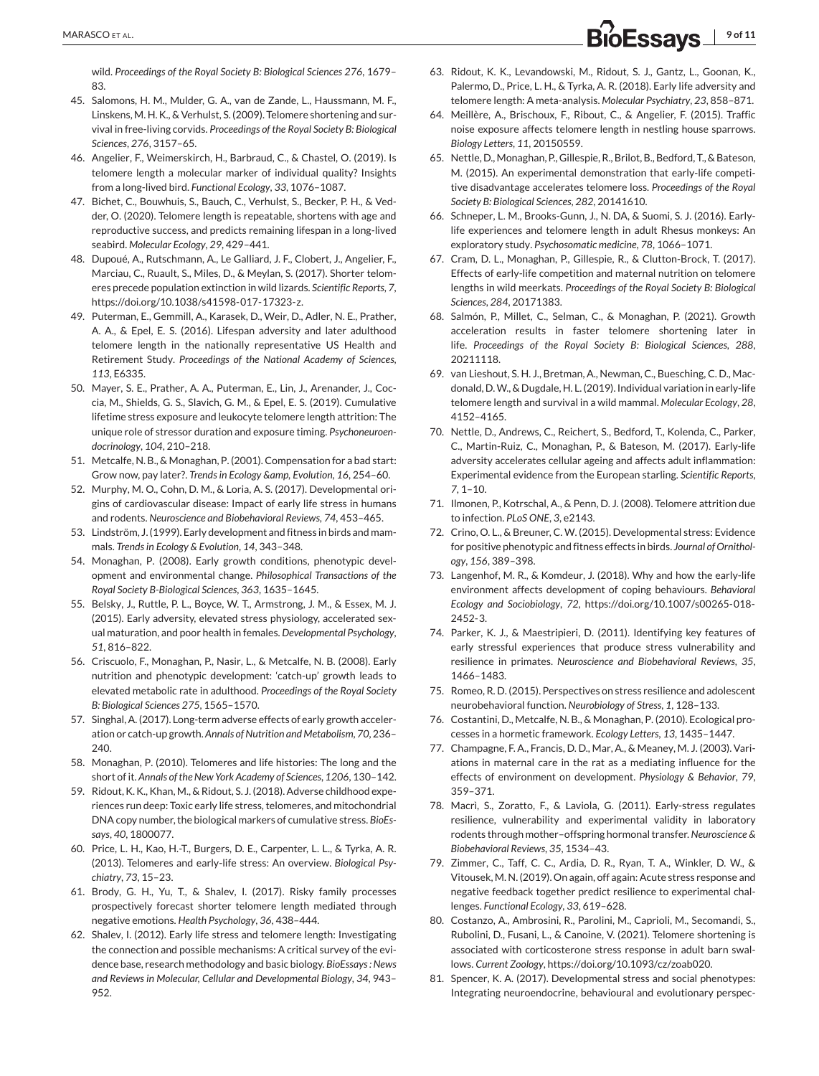wild. *Proceedings of the Royal Society B: Biological Sciences 276*, 1679– 83.

- 45. Salomons, H. M., Mulder, G. A., van de Zande, L., Haussmann, M. F., Linskens, M. H. K., & Verhulst, S. (2009). Telomere shortening and survival in free-living corvids. *Proceedings of the Royal Society B: Biological Sciences*, *276*, 3157–65.
- 46. Angelier, F., Weimerskirch, H., Barbraud, C., & Chastel, O. (2019). Is telomere length a molecular marker of individual quality? Insights from a long-lived bird. *Functional Ecology*, *33*, 1076–1087.
- 47. Bichet, C., Bouwhuis, S., Bauch, C., Verhulst, S., Becker, P. H., & Vedder, O. (2020). Telomere length is repeatable, shortens with age and reproductive success, and predicts remaining lifespan in a long-lived seabird. *Molecular Ecology*, *29*, 429–441.
- 48. Dupoué, A., Rutschmann, A., Le Galliard, J. F., Clobert, J., Angelier, F., Marciau, C., Ruault, S., Miles, D., & Meylan, S. (2017). Shorter telomeres precede population extinction in wild lizards. *Scientific Reports*, *7*, [https://doi.org/10.1038/s41598-017-17323-z.](https://doi.org/10.1038/s41598-017-17323-z)
- 49. Puterman, E., Gemmill, A., Karasek, D., Weir, D., Adler, N. E., Prather, A. A., & Epel, E. S. (2016). Lifespan adversity and later adulthood telomere length in the nationally representative US Health and Retirement Study. *Proceedings of the National Academy of Sciences*, *113*, E6335.
- 50. Mayer, S. E., Prather, A. A., Puterman, E., Lin, J., Arenander, J., Coccia, M., Shields, G. S., Slavich, G. M., & Epel, E. S. (2019). Cumulative lifetime stress exposure and leukocyte telomere length attrition: The unique role of stressor duration and exposure timing. *Psychoneuroendocrinology*, *104*, 210–218.
- 51. Metcalfe, N. B., & Monaghan, P. (2001). Compensation for a bad start: Grow now, pay later?. *Trends in Ecology &amp*, *Evolution*, 16, 254-60.
- 52. Murphy, M. O., Cohn, D. M., & Loria, A. S. (2017). Developmental origins of cardiovascular disease: Impact of early life stress in humans and rodents. *Neuroscience and Biobehavioral Reviews*, *74*, 453–465.
- 53. Lindström, J. (1999). Early development and fitness in birds and mammals. *Trends in Ecology & Evolution*, *14*, 343–348.
- 54. Monaghan, P. (2008). Early growth conditions, phenotypic development and environmental change. *Philosophical Transactions of the Royal Society B-Biological Sciences*, *363*, 1635–1645.
- 55. Belsky, J., Ruttle, P. L., Boyce, W. T., Armstrong, J. M., & Essex, M. J. (2015). Early adversity, elevated stress physiology, accelerated sexual maturation, and poor health in females.*Developmental Psychology*, *51*, 816–822.
- 56. Criscuolo, F., Monaghan, P., Nasir, L., & Metcalfe, N. B. (2008). Early nutrition and phenotypic development: 'catch-up' growth leads to elevated metabolic rate in adulthood. *Proceedings of the Royal Society B: Biological Sciences 275*, 1565–1570.
- 57. Singhal, A. (2017). Long-term adverse effects of early growth acceleration or catch-up growth. *Annals of Nutrition and Metabolism*, *70*, 236– 240.
- 58. Monaghan, P. (2010). Telomeres and life histories: The long and the short of it. *Annals of the New York Academy of Sciences*, *1206*, 130–142.
- 59. Ridout, K. K., Khan, M., & Ridout, S. J. (2018). Adverse childhood experiences run deep: Toxic early life stress, telomeres, and mitochondrial DNA copy number, the biological markers of cumulative stress. *BioEssays*, *40*, 1800077.
- 60. Price, L. H., Kao, H.-T., Burgers, D. E., Carpenter, L. L., & Tyrka, A. R. (2013). Telomeres and early-life stress: An overview. *Biological Psychiatry*, *73*, 15–23.
- 61. Brody, G. H., Yu, T., & Shalev, I. (2017). Risky family processes prospectively forecast shorter telomere length mediated through negative emotions. *Health Psychology*, *36*, 438–444.
- 62. Shalev, I. (2012). Early life stress and telomere length: Investigating the connection and possible mechanisms: A critical survey of the evidence base, research methodology and basic biology. *BioEssays : News and Reviews in Molecular, Cellular and Developmental Biology*, *34*, 943– 952.
- 63. Ridout, K. K., Levandowski, M., Ridout, S. J., Gantz, L., Goonan, K., Palermo, D., Price, L. H., & Tyrka, A. R. (2018). Early life adversity and telomere length: A meta-analysis. *Molecular Psychiatry*, *23*, 858–871.
- 64. Meillère, A., Brischoux, F., Ribout, C., & Angelier, F. (2015). Traffic noise exposure affects telomere length in nestling house sparrows. *Biology Letters*, *11*, 20150559.
- 65. Nettle, D.,Monaghan, P., Gillespie, R., Brilot, B., Bedford, T., & Bateson, M. (2015). An experimental demonstration that early-life competitive disadvantage accelerates telomere loss. *Proceedings of the Royal Society B: Biological Sciences*, *282*, 20141610.
- 66. Schneper, L. M., Brooks-Gunn, J., N. DA, & Suomi, S. J. (2016). Earlylife experiences and telomere length in adult Rhesus monkeys: An exploratory study. *Psychosomatic medicine*, *78*, 1066–1071.
- 67. Cram, D. L., Monaghan, P., Gillespie, R., & Clutton-Brock, T. (2017). Effects of early-life competition and maternal nutrition on telomere lengths in wild meerkats. *Proceedings of the Royal Society B: Biological Sciences*, *284*, 20171383.
- 68. Salmón, P., Millet, C., Selman, C., & Monaghan, P. (2021). Growth acceleration results in faster telomere shortening later in life. *Proceedings of the Royal Society B: Biological Sciences*, *288*, 20211118.
- 69. van Lieshout, S. H. J., Bretman, A., Newman, C., Buesching, C. D., Macdonald, D.W., & Dugdale, H. L. (2019). Individual variation in early-life telomere length and survival in a wild mammal. *Molecular Ecology*, *28*, 4152–4165.
- 70. Nettle, D., Andrews, C., Reichert, S., Bedford, T., Kolenda, C., Parker, C., Martin-Ruiz, C., Monaghan, P., & Bateson, M. (2017). Early-life adversity accelerates cellular ageing and affects adult inflammation: Experimental evidence from the European starling. *Scientific Reports*, *7*, 1–10.
- 71. Ilmonen, P., Kotrschal, A., & Penn, D. J. (2008). Telomere attrition due to infection. *PLoS ONE*, *3*, e2143.
- 72. Crino, O. L., & Breuner, C. W. (2015). Developmental stress: Evidence for positive phenotypic and fitness effects in birds. *Journal of Ornithology*, *156*, 389–398.
- 73. Langenhof, M. R., & Komdeur, J. (2018). Why and how the early-life environment affects development of coping behaviours. *Behavioral Ecology and Sociobiology*, *72*, [https://doi.org/10.1007/s00265-018-](https://doi.org/10.1007/s00265-018-2452-3) [2452-3.](https://doi.org/10.1007/s00265-018-2452-3)
- 74. Parker, K. J., & Maestripieri, D. (2011). Identifying key features of early stressful experiences that produce stress vulnerability and resilience in primates. *Neuroscience and Biobehavioral Reviews*, *35*, 1466–1483.
- 75. Romeo, R. D. (2015). Perspectives on stress resilience and adolescent neurobehavioral function. *Neurobiology of Stress*, *1*, 128–133.
- 76. Costantini, D., Metcalfe, N. B., & Monaghan, P. (2010). Ecological processes in a hormetic framework. *Ecology Letters*, *13*, 1435–1447.
- 77. Champagne, F. A., Francis, D. D., Mar, A., & Meaney, M. J. (2003). Variations in maternal care in the rat as a mediating influence for the effects of environment on development. *Physiology & Behavior*, *79*, 359–371.
- 78. Macrì, S., Zoratto, F., & Laviola, G. (2011). Early-stress regulates resilience, vulnerability and experimental validity in laboratory rodents through mother–offspring hormonal transfer.*Neuroscience & Biobehavioral Reviews*, *35*, 1534–43.
- 79. Zimmer, C., Taff, C. C., Ardia, D. R., Ryan, T. A., Winkler, D. W., & Vitousek, M. N. (2019). On again, off again: Acute stress response and negative feedback together predict resilience to experimental challenges. *Functional Ecology*, *33*, 619–628.
- 80. Costanzo, A., Ambrosini, R., Parolini, M., Caprioli, M., Secomandi, S., Rubolini, D., Fusani, L., & Canoine, V. (2021). Telomere shortening is associated with corticosterone stress response in adult barn swallows. *Current Zoology*, [https://doi.org/10.1093/cz/zoab020.](https://doi.org/10.1093/cz/zoab020)
- 81. Spencer, K. A. (2017). Developmental stress and social phenotypes: Integrating neuroendocrine, behavioural and evolutionary perspec-

# <span id="page-8-0"></span>MARASCO ET AL. **19 of 11 BIOESSAYS** 2 **9 of 11**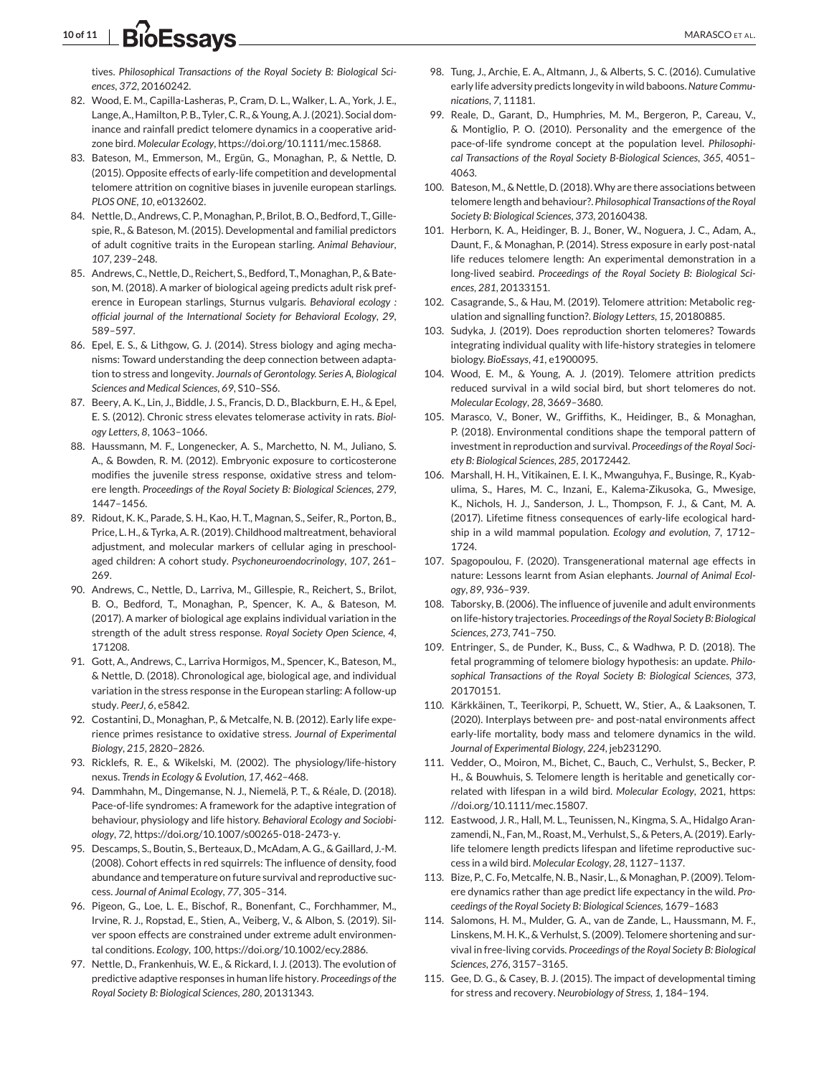# <span id="page-9-0"></span>**10 of 11 BIOESSAVS**

tives. *Philosophical Transactions of the Royal Society B: Biological Sciences*, *372*, 20160242.

- 82. Wood, E. M., Capilla-Lasheras, P., Cram, D. L., Walker, L. A., York, J. E., Lange, A., Hamilton, P. B., Tyler, C. R., & Young, A. J. (2021). Social dominance and rainfall predict telomere dynamics in a cooperative aridzone bird. *Molecular Ecology*, [https://doi.org/10.1111/mec.15868.](https://doi.org/10.1111/mec.15868)
- 83. Bateson, M., Emmerson, M., Ergün, G., Monaghan, P., & Nettle, D. (2015). Opposite effects of early-life competition and developmental telomere attrition on cognitive biases in juvenile european starlings. *PLOS ONE*, *10*, e0132602.
- 84. Nettle, D., Andrews, C. P., Monaghan, P., Brilot, B. O., Bedford, T., Gillespie, R., & Bateson, M. (2015). Developmental and familial predictors of adult cognitive traits in the European starling. *Animal Behaviour*, *107*, 239–248.
- 85. Andrews, C., Nettle, D., Reichert, S., Bedford, T., Monaghan, P., & Bateson, M. (2018). A marker of biological ageing predicts adult risk preference in European starlings, Sturnus vulgaris. *Behavioral ecology : official journal of the International Society for Behavioral Ecology*, *29*, 589–597.
- 86. Epel, E. S., & Lithgow, G. J. (2014). Stress biology and aging mechanisms: Toward understanding the deep connection between adaptation to stress and longevity. *Journals of Gerontology. Series A, Biological Sciences and Medical Sciences*, *69*, S10–SS6.
- 87. Beery, A. K., Lin, J., Biddle, J. S., Francis, D. D., Blackburn, E. H., & Epel, E. S. (2012). Chronic stress elevates telomerase activity in rats. *Biology Letters*, *8*, 1063–1066.
- 88. Haussmann, M. F., Longenecker, A. S., Marchetto, N. M., Juliano, S. A., & Bowden, R. M. (2012). Embryonic exposure to corticosterone modifies the juvenile stress response, oxidative stress and telomere length. *Proceedings of the Royal Society B: Biological Sciences*, *279*, 1447–1456.
- 89. Ridout, K. K., Parade, S. H., Kao, H. T., Magnan, S., Seifer, R., Porton, B., Price, L. H., & Tyrka, A. R. (2019). Childhood maltreatment, behavioral adjustment, and molecular markers of cellular aging in preschoolaged children: A cohort study. *Psychoneuroendocrinology*, *107*, 261– 269.
- 90. Andrews, C., Nettle, D., Larriva, M., Gillespie, R., Reichert, S., Brilot, B. O., Bedford, T., Monaghan, P., Spencer, K. A., & Bateson, M. (2017). A marker of biological age explains individual variation in the strength of the adult stress response. *Royal Society Open Science*, *4*, 171208.
- 91. Gott, A., Andrews, C., Larriva Hormigos, M., Spencer, K., Bateson, M., & Nettle, D. (2018). Chronological age, biological age, and individual variation in the stress response in the European starling: A follow-up study. *PeerJ*, *6*, e5842.
- 92. Costantini, D., Monaghan, P., & Metcalfe, N. B. (2012). Early life experience primes resistance to oxidative stress. *Journal of Experimental Biology*, *215*, 2820–2826.
- 93. Ricklefs, R. E., & Wikelski, M. (2002). The physiology/life-history nexus. *Trends in Ecology & Evolution*, *17*, 462–468.
- 94. Dammhahn, M., Dingemanse, N. J., Niemelä, P. T., & Réale, D. (2018). Pace-of-life syndromes: A framework for the adaptive integration of behaviour, physiology and life history. *Behavioral Ecology and Sociobiology*, *72*, [https://doi.org/10.1007/s00265-018-2473-y.](https://doi.org/10.1007/s00265-018-2473-y)
- 95. Descamps, S., Boutin, S., Berteaux, D., McAdam, A. G., & Gaillard, J.-M. (2008). Cohort effects in red squirrels: The influence of density, food abundance and temperature on future survival and reproductive success. *Journal of Animal Ecology*, *77*, 305–314.
- 96. Pigeon, G., Loe, L. E., Bischof, R., Bonenfant, C., Forchhammer, M., Irvine, R. J., Ropstad, E., Stien, A., Veiberg, V., & Albon, S. (2019). Silver spoon effects are constrained under extreme adult environmental conditions. *Ecology*, *100*, [https://doi.org/10.1002/ecy.2886.](https://doi.org/10.1002/ecy.2886)
- 97. Nettle, D., Frankenhuis, W. E., & Rickard, I. J. (2013). The evolution of predictive adaptive responses in human life history. *Proceedings of the Royal Society B: Biological Sciences*, *280*, 20131343.
- 98. Tung, J., Archie, E. A., Altmann, J., & Alberts, S. C. (2016). Cumulative early life adversity predicts longevity in wild baboons.*Nature Communications*, *7*, 11181.
- 99. Reale, D., Garant, D., Humphries, M. M., Bergeron, P., Careau, V., & Montiglio, P. O. (2010). Personality and the emergence of the pace-of-life syndrome concept at the population level. *Philosophical Transactions of the Royal Society B-Biological Sciences*, *365*, 4051– 4063.
- 100. Bateson, M., & Nettle, D. (2018).Why are there associations between telomere length and behaviour?. *Philosophical Transactions of the Royal Society B: Biological Sciences*, *373*, 20160438.
- 101. Herborn, K. A., Heidinger, B. J., Boner, W., Noguera, J. C., Adam, A., Daunt, F., & Monaghan, P. (2014). Stress exposure in early post-natal life reduces telomere length: An experimental demonstration in a long-lived seabird. *Proceedings of the Royal Society B: Biological Sciences*, *281*, 20133151.
- 102. Casagrande, S., & Hau, M. (2019). Telomere attrition: Metabolic regulation and signalling function?. *Biology Letters*, *15*, 20180885.
- 103. Sudyka, J. (2019). Does reproduction shorten telomeres? Towards integrating individual quality with life-history strategies in telomere biology. *BioEssays*, *41*, e1900095.
- 104. Wood, E. M., & Young, A. J. (2019). Telomere attrition predicts reduced survival in a wild social bird, but short telomeres do not. *Molecular Ecology*, *28*, 3669–3680.
- 105. Marasco, V., Boner, W., Griffiths, K., Heidinger, B., & Monaghan, P. (2018). Environmental conditions shape the temporal pattern of investment in reproduction and survival. *Proceedings of the Royal Society B: Biological Sciences*, *285*, 20172442.
- 106. Marshall, H. H., Vitikainen, E. I. K., Mwanguhya, F., Businge, R., Kyabulima, S., Hares, M. C., Inzani, E., Kalema-Zikusoka, G., Mwesige, K., Nichols, H. J., Sanderson, J. L., Thompson, F. J., & Cant, M. A. (2017). Lifetime fitness consequences of early-life ecological hardship in a wild mammal population. *Ecology and evolution*, *7*, 1712– 1724.
- 107. Spagopoulou, F. (2020). Transgenerational maternal age effects in nature: Lessons learnt from Asian elephants. *Journal of Animal Ecology*, *89*, 936–939.
- 108. Taborsky, B. (2006). The influence of juvenile and adult environments on life-history trajectories. *Proceedings of the Royal Society B: Biological Sciences*, *273*, 741–750.
- 109. Entringer, S., de Punder, K., Buss, C., & Wadhwa, P. D. (2018). The fetal programming of telomere biology hypothesis: an update. *Philosophical Transactions of the Royal Society B: Biological Sciences*, *373*, 20170151.
- 110. Kärkkäinen, T., Teerikorpi, P., Schuett, W., Stier, A., & Laaksonen, T. (2020). Interplays between pre- and post-natal environments affect early-life mortality, body mass and telomere dynamics in the wild. *Journal of Experimental Biology*, *224*, jeb231290.
- 111. Vedder, O., Moiron, M., Bichet, C., Bauch, C., Verhulst, S., Becker, P. H., & Bouwhuis, S. Telomere length is heritable and genetically correlated with lifespan in a wild bird. *Molecular Ecology*, 2021, [https:](https://doi.org/10.1111/mec.15807) [//doi.org/10.1111/mec.15807.](https://doi.org/10.1111/mec.15807)
- 112. Eastwood, J. R., Hall, M. L., Teunissen, N., Kingma, S. A., Hidalgo Aranzamendi, N., Fan, M., Roast, M., Verhulst, S., & Peters, A. (2019). Earlylife telomere length predicts lifespan and lifetime reproductive success in a wild bird. *Molecular Ecology*, *28*, 1127–1137.
- 113. Bize, P., C. Fo, Metcalfe, N. B., Nasir, L., & Monaghan, P. (2009). Telomere dynamics rather than age predict life expectancy in the wild. *Proceedings of the Royal Society B: Biological Sciences*, 1679–1683
- 114. Salomons, H. M., Mulder, G. A., van de Zande, L., Haussmann, M. F., Linskens, M. H. K., & Verhulst, S. (2009). Telomere shortening and survival in free-living corvids. *Proceedings of the Royal Society B: Biological Sciences*, *276*, 3157–3165.
- 115. Gee, D. G., & Casey, B. J. (2015). The impact of developmental timing for stress and recovery. *Neurobiology of Stress*, *1*, 184–194.